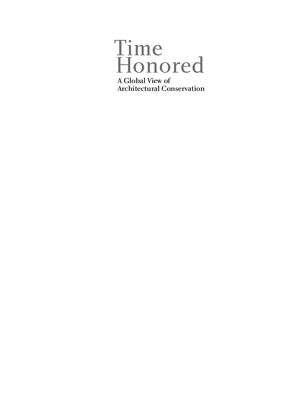## A Global View of Time Honored

Architectural Conservation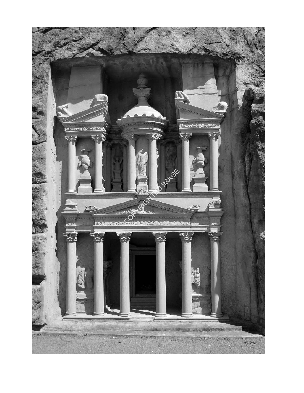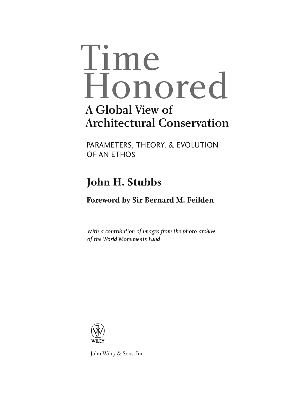# A Global View of Time Honored

### Architectural Conservation

PARAMETERS, THEORY, & EVOLUTION OF AN ETHOS

#### **John H. Stubbs**

# **Foreword by Sir Bernard M. Feilden** Correlation Stubbs<br>The Sir Bernard N<br>Allows

*With a contribution of images from the photo archive of the World Monuments Fund*



John Wiley & Sons, Inc.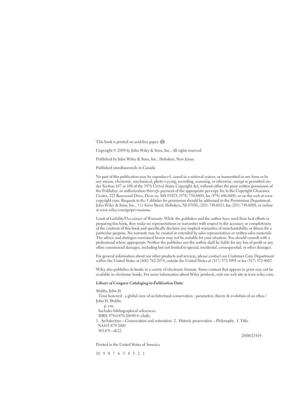This book is printed on acid-free paper.  $\otimes$ 

Copyright © 2009 by John Wiley & Sons, Inc.. All rights reserved

Published by John Wiley & Sons, Inc., Hoboken, New Jersey

Published simultaneously in Canada

No part of this publication may be reproduced, stored in a retrieval system, or transmitted in any form or by any means, electronic, mechanical, photocopying, recording, scanning, or otherwise, except as permitted under Section 107 or 108 of the 1976 United States Copyright Act, without either the prior written permission of the Publisher, or authorization through payment of the appropriate per-copy fee to the Copyright Clearance Center, 222 Rosewood Drive, Danvers, MA 01923, (978) 750-8400, fax (978) 646-8600, or on the web at www. copyright.com. Requests to the Publisher for permission should be addressed to the Permissions Department, John Wiley & Sons, Inc., 111 River Street, Hoboken, NJ 07030, (201) 748-6011, fax (201) 748-6008, or online at www.wiley.com/go/permissions. aneously in Canada<br>
ublication may be reproduced, store<br>
conic, mechanical, photocopying, r<br>
or 108 of the 1976 United States Co<br>
authorization through payment of<br>
uwood Drive, Danvers, MA 01923, d<br>
equests to the Publishe

Limit of Liability/Disclaimer of Warranty: While the publisher and the author have used their best efforts in preparing this book, they make no representations or warranties with respect to the accuracy or completeness of the contents of this book and specifically disclaim any implied warranties of merchantability or fitness for a particular purpose. No warranty may be created or extended by sales representatives or written sales materials. The advice and strategies contained herein may not be suitable for your situation. You should consult with a professional where appropriate. Neither the publisher nor the author shall be liable for any loss of profit or any other commercial damages, including but not limited to special, incidental, consequential, or other damages.

For general information about our other products and services, please contact our Customer Care Department within the United States at (800) 762-2974, outside the United States at (317) 572-3993 or fax (317) 572-4002.

Wiley also publishes its books in a variety of electronic formats. Some content that appears in print may not be available in electronic books. For more information about Wiley products, visit our web site at www.wiley.com.

#### *Library of Congress Cataloging-in-Publication Data:*

Stubbs, John H. Time honored : a global view of architectural conservation : parameters, theory & evolution of an ethos / John H. Stubbs. p. cm. Includes bibliographical references. ISBN 978-0-470-26049-4 (cloth) 1. Architecture—Conservation and restoration. 2. Historic preservation—Philosophy. I. Title. NA105.S79 2009 363.6'9—dc22 2008021419

Printed in the United States of America

10 9 8 7 6 5 4 3 2 1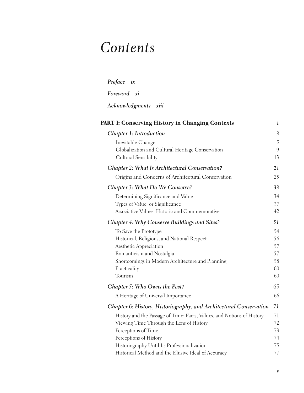## *Contents*

*Preface ix*

*Foreword xi*

*Acknowledgments xiii*

| <b>PART I: Conserving History in Changing Contexts</b>                 |                         |  |
|------------------------------------------------------------------------|-------------------------|--|
| Chapter 1: Introduction                                                | $\overline{\mathbf{3}}$ |  |
| Inevitable Change                                                      | 5                       |  |
| Globalization and Cultural Heritage Conservation                       | 9                       |  |
| Cultural Sensibility                                                   | 13                      |  |
| Chapter 2: What Is Architectural Conservation?                         | 21                      |  |
| Origins and Concerns of Architectural Conservation                     | 25                      |  |
| Chapter 3: What Do We Conserve?                                        | 33                      |  |
| Determining Significance and Value                                     | 34                      |  |
| Types of Value or Significance                                         | 37                      |  |
| Associative Values: Historic and Commemorative                         | 42                      |  |
| <b>Chapter 4: Why Conserve Buildings and Sites?</b>                    | 51                      |  |
| To Save the Prototype                                                  | 54                      |  |
| Historical, Religious, and National Respect                            | 56                      |  |
| Aesthetic Appreciation                                                 | 57                      |  |
| Romanticism and Nostalgia                                              | 57                      |  |
| Shortcomings in Modern Architecture and Planning                       | 58                      |  |
| Practicality                                                           | 60                      |  |
| Tourism                                                                | 60                      |  |
| Chapter 5: Who Owns the Past?                                          | 65                      |  |
| A Heritage of Universal Importance                                     | 66                      |  |
| Chapter 6: History, Historiography, and Architectural Conservation     | 71                      |  |
| History and the Passage of Time: Facts, Values, and Notions of History | 71                      |  |
| Viewing Time Through the Lens of History                               | 72                      |  |
| Perceptions of Time                                                    | 73                      |  |
| Perceptions of History                                                 | 74                      |  |
| Historiography Until Its Professionalization                           | 75                      |  |
| Historical Method and the Elusive Ideal of Accuracy                    | 77                      |  |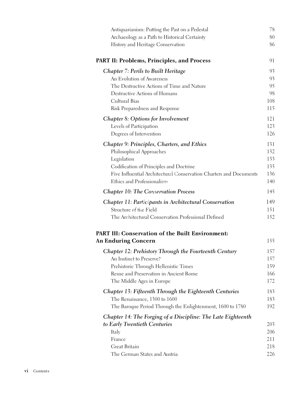| Antiquarianism: Putting the Past on a Pedestal                                                   | 78         |
|--------------------------------------------------------------------------------------------------|------------|
| Archaeology as a Path to Historical Certainty                                                    | 80         |
| History and Heritage Conservation                                                                | 86         |
| <b>PART II: Problems, Principles, and Process</b>                                                | 91         |
| Chapter 7: Perils to Built Heritage                                                              | 93         |
| An Evolution of Awareness                                                                        | 93         |
| The Destructive Actions of Time and Nature                                                       | 95         |
| Destructive Actions of Humans                                                                    | 98         |
| Cultural Bias                                                                                    | 108        |
| Risk Preparedness and Response                                                                   | 115        |
| Chapter 8: Options for Involvement                                                               | 121        |
| Levels of Participation                                                                          | 123        |
| Degrees of Intervention                                                                          | 126        |
| Chapter 9: Principles, Charters, and Ethics                                                      | 131        |
| Philosophical Approaches                                                                         | 132        |
| Legislation                                                                                      | 133        |
| Codification of Principles and Doctrine                                                          | 135        |
| Five Influential Architectural Conservation Charters and Documents<br>Ethics and Professionalism | 136<br>140 |
| <b>Chapter 10: The Conservation Process</b>                                                      | 145        |
| Chapter 11: Participants in Architectural Conservation                                           | 149        |
| Structure of the Field                                                                           | 151        |
| The Architectural Conservation Professional Defined                                              | 152        |
| PART III: Conservation of the Built Environment:                                                 |            |
| <b>An Enduring Concern</b>                                                                       | 155        |
| Chapter 12: Prehistory Through the Fourteenth Century                                            | 157        |
| An Instinct to Preserve?                                                                         | 157        |
| Prehistoric Through Hellenistic Times                                                            | 159        |
| Reuse and Preservation in Ancient Rome                                                           | 166        |
| The Middle Ages in Europe                                                                        | 172        |
| Chapter 13: Fifteenth Through the Eighteenth Centuries                                           | 183        |
| The Renaissance, 1300 to 1600                                                                    | 183        |
| The Baroque Period Through the Enlightenment, 1600 to 1780                                       | 192        |
| Chapter 14: The Forging of a Discipline: The Late Eighteenth                                     |            |
| to Early Twentieth Centuries                                                                     | 203        |
| Italy                                                                                            | 206        |
| France                                                                                           | 211        |
| Great Britain                                                                                    | 218        |
| The German States and Austria                                                                    | 226        |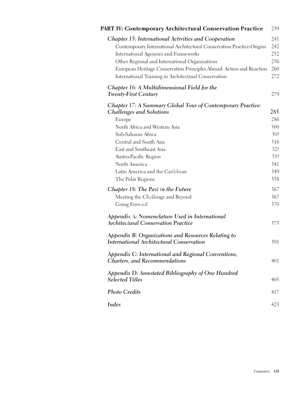| <b>PART IV: Contemporary Architectural Conservation Practice</b>                                                                                                                                                                                                                                                                                                                                                  | 239                                                                                     |
|-------------------------------------------------------------------------------------------------------------------------------------------------------------------------------------------------------------------------------------------------------------------------------------------------------------------------------------------------------------------------------------------------------------------|-----------------------------------------------------------------------------------------|
| Chapter 15: International Activities and Cooperation<br>Contemporary International Architectural Conservation Practice-Origins<br>International Agencies and Frameworks<br>Other Regional and International Organizations<br>European Heritage Conservation Principles Abroad: Action and Reaction<br>International Training in Architectural Conservation                                                        | 241<br>242<br>252<br>256<br>260<br>272                                                  |
| Chapter 16: A Multidimensional Field for the<br><b>Twenty-First Century</b>                                                                                                                                                                                                                                                                                                                                       | 279                                                                                     |
| Chapter 17: A Summary Global Tour of Contemporary Practice:<br><b>Challenges and Solutions</b><br>Europe<br>North Africa and Western Asia<br>Sub-Saharan Africa<br>Central and South Asia<br>East and Southeast Asia<br>Austro-Pacific Region<br>North America<br>Latin America and the Caribbean<br>The Polar Regions<br>Chapter 18: The Past in the Future<br>Meeting the Challenge and Beyond<br>Going Forward | 285<br>286<br>300<br>30?<br>316<br>32?<br>33?<br>341<br>349<br>358<br>367<br>367<br>370 |
| Appendix A: Nomenclature Used in International<br><b>Architectural Conservation Practice</b>                                                                                                                                                                                                                                                                                                                      | 375                                                                                     |
| Appendix B: Organizations and Resources Relating to<br><b>International Architectural Conservation</b>                                                                                                                                                                                                                                                                                                            | 391                                                                                     |
| Appendix C: International and Regional Conventions,<br><b>Charters, and Recommendations</b>                                                                                                                                                                                                                                                                                                                       | 401                                                                                     |
| Appendix D: Annotated Bibliography of One Hundred<br><b>Selected Titles</b>                                                                                                                                                                                                                                                                                                                                       | 405                                                                                     |
| <b>Photo Credits</b>                                                                                                                                                                                                                                                                                                                                                                                              | 417                                                                                     |
| <b>Index</b>                                                                                                                                                                                                                                                                                                                                                                                                      | 423                                                                                     |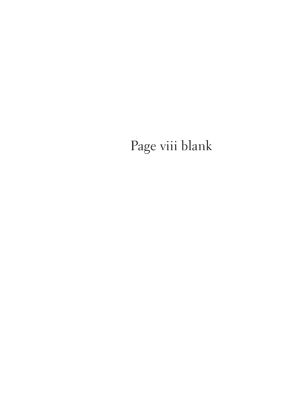# Page viii blank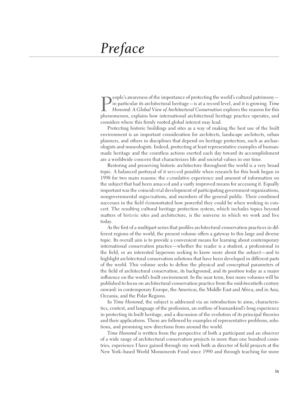People's awareness of the importance of protecting the world's cultural patrimony—<br>
in particular its architectural heritage—is at a record level, and it is growing. Time<br>
Honored: A Global View of Architectural Conservati eople's awareness of the importance of protecting the world's cultural patrimony in particular its architectural heritage—is at a record level, and it is growing. *Time Honored: A Global View of Architectural Conservation* explores the reasons for this considers where this firmly rooted global interest may lead.

Protecting historic buildings and sites as a way of making the best use of the built environment is an important consideration for architects, landscape architects, urban planners, and others in disciplines that depend on heritage protection, such as archaeologists and museologists. Indeed, protecting at least representative examples of humanmade heritage and the countless actions exerted each day toward its accomplishment are a worldwide concern that characterizes life and societal values in our time.

Restoring and preserving historic architecture throughout the world is a very broad topic. A balanced portrayal of it seemed possible when research for this book began in 1998 for two main reasons: the cumulative experience and amount of information on the subject that had been amassed and a vastly improved means for accessing it. Equally important was the coincidental development of participating government organizations, nongovernmental organizations, and members of the general public. Their combined successes in the field demonstrated how powerful they could be when working in concert. The resulting cultural heritage protection system, which includes topics beyond matters of historic sites and architecture, is the universe in which we work and live today. anced portrayal of it seeme<br>
o main reasons: the cumul<br>
that had been amassed and<br>
was the coincidental develop<br>
mental organizations, and r<br>
n the field demonstrated ho<br>
esulting cultural heritage p<br>
historic sites and ar

As the first of a multipart series that profiles architectural conservation practices in different regions of the world, the present volume offers a gateway to this large and diverse topic. Its overall aim is to provide a convenient means for learning about contemporary international conservation practice—whether the reader is a student, a professional in the field, or an interested layperson seeking to know more about the subject—and to highlight architectural conservation solutions that have been developed in different parts of the world. This volume seeks to define the physical and conceptual parameters of the field of architectural conservation, its background, and its position today as a major influence on the world's built environment. In the near term, four more volumes will be published to focus on architectural conservation practice from the mid-twentieth century onward: in contemporary Europe, the Americas, the Middle East and Africa, and in Asia, Oceania, and the Polar Regions.

In *Time Honored*, the subject is addressed via an introduction to aims, characteristics, context, and language of the profession, an outline of humankind's long experience in protecting its built heritage, and a discussion of the evolution of its principal theories and their applications. These are followed by examples of representative problems, solutions, and promising new directions from around the world.

*Time Honored* is written from the perspective of both a participant and an observer of a wide range of architectural conservation projects in more than one hundred countries, experience I have gained through my work both as director of field projects at the New York–based World Monuments Fund since 1990 and through teaching for more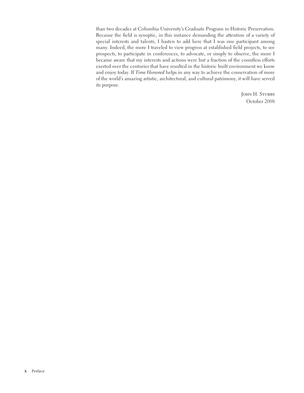than two decades at Columbia University's Graduate Program in Historic Preservation. Because the field is synoptic, in this instance demanding the attention of a variety of special interests and talents, I hasten to add here that I was one participant among many. Indeed, the more I traveled to view progress at established field projects, to see prospects, to participate in conferences, to advocate, or simply to observe, the more I became aware that my interests and actions were but a fraction of the countless efforts exerted over the centuries that have resulted in the historic built environment we know and enjoy today. If *Time Honored* helps in any way to achieve the conservation of more of the world's amazing artistic, architectural, and cultural patrimony, it will have served its purpose.

> JOHN H. STUBBS October 2008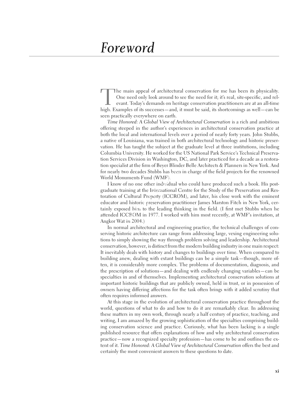## *Foreword*

The main appeal of architectural conservation for me has been its physicality.<br>One need only look around to see the need for it; it's real, site-specific, and rel-<br>evant. Today's demands on heritage conservation practition One need only look around to see the need for it; it's real, site-specific, and relevant. Today's demands on heritage conservation practitioners are at an all-time high. Examples of its successes—and, it must be said, its shortcomings as well—can be seen practically everywhere on earth.

*Time Honored: A Global View of Architectural Conservation* is a rich and ambitious offering steeped in the author's experiences in architectural conservation practice at both the local and international levels over a period of nearly forty years. John Stubbs, a native of Louisiana, was trained in both architectural technology and historic preservation. He has taught the subject at the graduate level at three institutions, including Columbia University. He worked for the US National Park Service's Technical Preservation Services Division in Washington, DC, and later practiced for a decade as a restoration specialist at the firm of Beyer Blinder Belle Architects & Planners in New York. And for nearly two decades Stubbs has been in charge of the field projects for the renowned World Monuments Fund (WMF).

I know of no one other individual who could have produced such a book. His postgraduate training at the International Centre for the Study of the Preservation and Restoration of Cultural Property (ICCROM), and later, his close work with the eminent educator and historic preservation practitioner James Marston Fitch in New York, certainly exposed him to the leading thinking in the field. (I first met Stubbs when he attended ICCROM in 1977. I worked with him most recently, at WMF's invitation, at Angkor Wat in 2004.) wo decades Stubbs has beer<br>uuments Fund (WMF).<br>of no one other individual v<br>inining at the International C<br>Cultural Property (ICCRC<br>nd historic preservation pra<br>sed him to the leading thi<br>CCROM in 1977. I worked<br>t in 2004.

In normal architectural and engineering practice, the technical challenges of conserving historic architecture can range from addressing large, vexing engineering solutions to simply showing the way through problem solving and leadership. Architectural conservation, however, is distinct from the modern building industry in one main respect: It inevitably deals with history and changes to buildings over time. When compared to building anew, dealing with extant buildings can be a simple task—though, more often, it is considerably more complex. The problems of documentation, diagnosis, and the prescription of solutions—and dealing with endlessly changing variables—can be specialties in and of themselves. Implementing architectural conservation solutions at important historic buildings that are publicly owned, held in trust, or in possession of owners having differing affections for the task often brings with it added scrutiny that often requires informed answers.

At this stage in the evolution of architectural conservation practice throughout the world, questions of what to do and how to do it are remarkably clear. In addressing these matters in my own work, through nearly a half century of practice, teaching, and writing, I am amazed by the growing sophistication of the specialties comprising building conservation science and practice. Curiously, what has been lacking is a single published resource that offers explanations of how and why architectural conservation practice—now a recognized specialty profession—has come to be and outlines the extent of it. *Time Honored: A Global View of Architectural Conservation* offers the best and certainly the most convenient answers to these questions to date.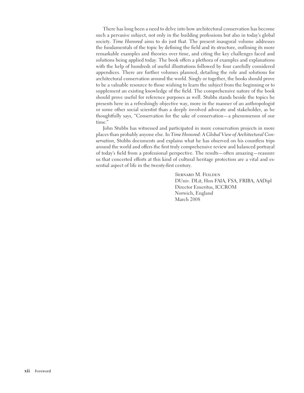There has long been a need to delve into how architectural conservation has become such a pervasive subject, not only in the building professions but also in today's global society. *Time Honored* aims to do just that. The present inaugural volume addresses the fundamentals of the topic by defining the field and its structure, outlining its more remarkable examples and theories over time, and citing the key challenges faced and solutions being applied today. The book offers a plethora of examples and explanations with the help of hundreds of useful illustrations followed by four carefully considered appendices. There are further volumes planned, detailing the role and solutions for architectural conservation around the world. Singly or together, the books should prove to be a valuable resource to those wishing to learn the subject from the beginning or to supplement an existing knowledge of the field. The comprehensive nature of the book should prove useful for reference purposes as well. Stubbs stands beside the topics he presents here in a refreshingly objective way, more in the manner of an anthropologist or some other social scientist than a deeply involved advocate and stakeholder, as he thoughtfully says, "Conservation for the sake of conservation—a phenomenon of our time.'

John Stubbs has witnessed and participated in more conservation projects in more places than probably anyone else. In *Time Honored: A Global View of Architectural Conservation,* Stubbs documents and explains what he has observed on his countless trips around the world and offers the first truly comprehensive review and balanced portrayal of today's fi eld from a professional perspective. The results—often amazing—reassure us that concerted efforts at this kind of cultural heritage protection are a vital and essential aspect of life in the twenty-first century.

> Bernard M. Feilden DUniv. DLit, Hon FAIA, FSA, FRIBA, AADipl Director Emeritus, ICCROM Norwich, England March 2008 BE<br>DD<br>DD<br>NG<br>M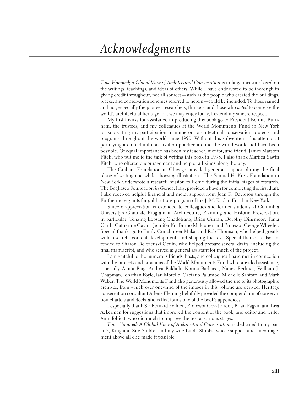*Time Honored; a Global View of Architectural Conservation* is in large measure based on the writings, teachings, and ideas of others. While I have endeavored to be thorough in giving credit throughout, not all sources—such as the people who created the buildings, places, and conservation schemes referred to herein—could be included. To those named and not, especially the pioneer researchers, thinkers, and those who *acted* to conserve the world's architectural heritage that we may enjoy today, I extend my sincere respect.

My first thanks for assistance in producing this book go to President Bonnie Burnham, the trustees, and my colleagues at the World Monuments Fund in New York for supporting my participation in numerous architectural conservation projects and programs throughout the world since 1990. Without this subvention, this attempt at portraying architectural conservation practice around the world would not have been possible. Of equal importance has been my teacher, mentor, and friend, James Marston Fitch, who put me to the task of writing this book in 1998. I also thank Martica Sawin Fitch, who offered encouragement and help of all kinds along the way.

The Graham Foundation in Chicago provided generous support during the final phase of writing and while choosing illustrations. The Samuel H. Kress Foundation in New York underwrote a research mission to Rome during the initial stages of research. The Bogliasco Foundation in Genoa, Italy, provided a haven for completing the first draft. I also received helpful financial and moral support from Joan K. Davidson through the Furthermore grants for publications program of the J. M. Kaplan Fund in New York. aham Foundation in Chica<br>
iting and while choosing il<br>
inderwrote a research missi<br>
sco Foundation in Genoa, Ita<br>
sco Foundation in Genoa, Ita<br>
re grants for publications pro<br>
appreciation is extended t<br>
Craduate Program i

Sincere appreciation is extended to colleagues and former students at Columbia University's Graduate Program in Architecture, Planning and Historic Preservation, in particular: Tenzing Lobsang Chadotsang, Brian Curran, Dorothy Dinsmoor, Tania Garth, Catherine Gavin, Jennifer Ko, Bruno Maldoner, and Professor George Wheeler. Special thanks go to Emily Gunzburger Makas and Rob Thomson, who helped greatly with research, content development, and shaping the text. Special thanks is also extended to Sharon Delezenski Genin, who helped prepare several drafts, including the final manuscript, and who served as general assistant for much of the project.

I am grateful to the numerous friends, hosts, and colleagues I have met in connection with the projects and programs of the World Monuments Fund who provided assistance, especially Amita Baig, Andrea Baldioli, Norma Barbacci, Nancy Berliner, William J. Chapman, Jonathan Foyle, Ian Morello, Gaetano Palumbo, Michelle Santoro, and Mark Weber. The World Monuments Fund also generously allowed the use of its photographic archives, from which over one-third of the images in this volume are derived. Heritage conservation consultant Arlene Fleming helpfully provided the compendium of conservation charters and declarations that forms one of the book's appendices.

I especially thank Sir Bernard Feilden, Professor Cevat Erder, Brian Fagan, and Lisa Ackerman for suggestions that improved the content of the book, and editor and writer Ann ffolliott, who did much to improve the text at various stages.

*Time Honored: A Global View of Architectural Conservation* is dedicated to my parents, King and Sue Stubbs, and my wife Linda Stubbs, whose support and encouragement above all else made it possible.